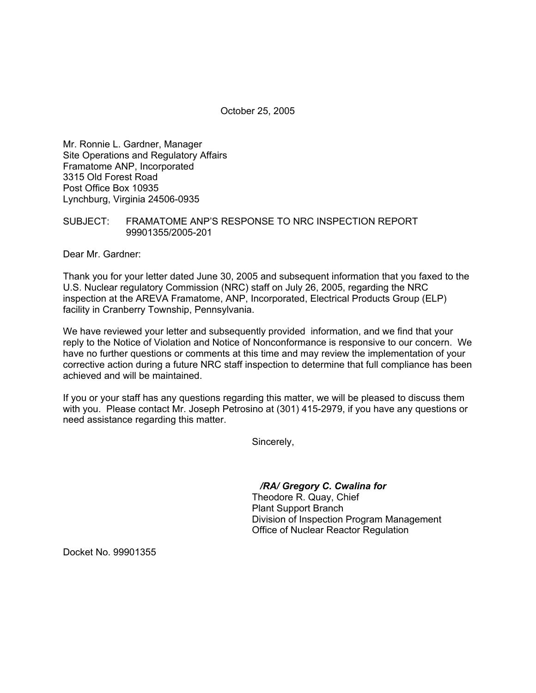October 25, 2005

Mr. Ronnie L. Gardner, Manager Site Operations and Regulatory Affairs Framatome ANP, Incorporated 3315 Old Forest Road Post Office Box 10935 Lynchburg, Virginia 24506-0935

## SUBJECT: FRAMATOME ANP'S RESPONSE TO NRC INSPECTION REPORT 99901355/2005-201

Dear Mr. Gardner:

Thank you for your letter dated June 30, 2005 and subsequent information that you faxed to the U.S. Nuclear regulatory Commission (NRC) staff on July 26, 2005, regarding the NRC inspection at the AREVA Framatome, ANP, Incorporated, Electrical Products Group (ELP) facility in Cranberry Township, Pennsylvania.

We have reviewed your letter and subsequently provided information, and we find that your reply to the Notice of Violation and Notice of Nonconformance is responsive to our concern. We have no further questions or comments at this time and may review the implementation of your corrective action during a future NRC staff inspection to determine that full compliance has been achieved and will be maintained.

If you or your staff has any questions regarding this matter, we will be pleased to discuss them with you. Please contact Mr. Joseph Petrosino at (301) 415-2979, if you have any questions or need assistance regarding this matter.

Sincerely,

*/RA/ Gregory C. Cwalina for*

Theodore R. Quay, Chief Plant Support Branch Division of Inspection Program Management Office of Nuclear Reactor Regulation

Docket No. 99901355